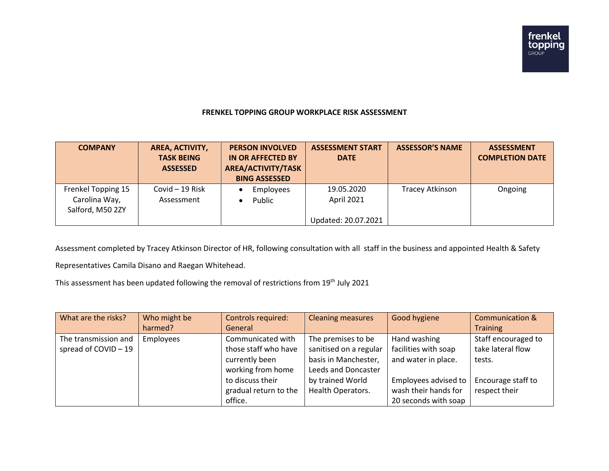## **FRENKEL TOPPING GROUP WORKPLACE RISK ASSESSMENT**

| <b>COMPANY</b>                                          | AREA, ACTIVITY,<br><b>TASK BEING</b><br><b>ASSESSED</b> | <b>PERSON INVOLVED</b><br>IN OR AFFECTED BY<br>AREA/ACTIVITY/TASK<br><b>BING ASSESSED</b> | <b>ASSESSMENT START</b><br><b>DATE</b>          | <b>ASSESSOR'S NAME</b> | <b>ASSESSMENT</b><br><b>COMPLETION DATE</b> |
|---------------------------------------------------------|---------------------------------------------------------|-------------------------------------------------------------------------------------------|-------------------------------------------------|------------------------|---------------------------------------------|
| Frenkel Topping 15<br>Carolina Way,<br>Salford, M50 2ZY | Covid $-19$ Risk<br>Assessment                          | Employees<br>Public                                                                       | 19.05.2020<br>April 2021<br>Updated: 20.07.2021 | Tracey Atkinson        | Ongoing                                     |

Assessment completed by Tracey Atkinson Director of HR, following consultation with all staff in the business and appointed Health & Safety

Representatives Camila Disano and Raegan Whitehead.

This assessment has been updated following the removal of restrictions from 19<sup>th</sup> July 2021

| What are the risks?  | Who might be | Controls required:    | <b>Cleaning measures</b> | Good hygiene         | <b>Communication &amp;</b> |
|----------------------|--------------|-----------------------|--------------------------|----------------------|----------------------------|
|                      | harmed?      | General               |                          |                      | <b>Training</b>            |
| The transmission and | Employees    | Communicated with     | The premises to be       | Hand washing         | Staff encouraged to        |
| spread of COVID-19   |              | those staff who have  | sanitised on a regular   | facilities with soap | take lateral flow          |
|                      |              | currently been        | basis in Manchester,     | and water in place.  | tests.                     |
|                      |              | working from home     | Leeds and Doncaster      |                      |                            |
|                      |              | to discuss their      | by trained World         | Employees advised to | Encourage staff to         |
|                      |              | gradual return to the | <b>Health Operators.</b> | wash their hands for | respect their              |
|                      |              | office.               |                          | 20 seconds with soap |                            |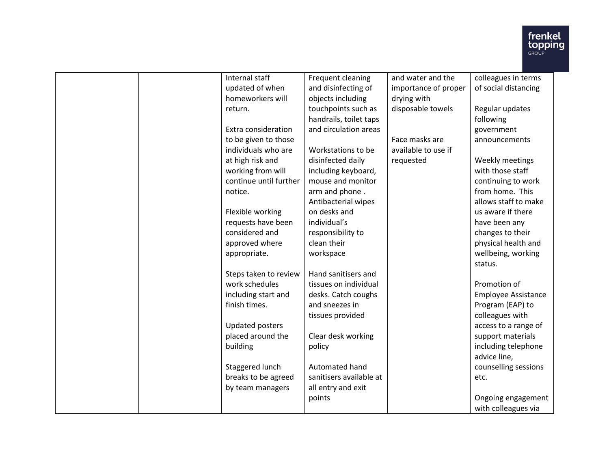

| Internal staff         | Frequent cleaning       | and water and the    | colleagues in terms        |
|------------------------|-------------------------|----------------------|----------------------------|
| updated of when        | and disinfecting of     | importance of proper | of social distancing       |
| homeworkers will       | objects including       | drying with          |                            |
| return.                | touchpoints such as     | disposable towels    | Regular updates            |
|                        | handrails, toilet taps  |                      | following                  |
| Extra consideration    | and circulation areas   |                      | government                 |
| to be given to those   |                         | Face masks are       | announcements              |
| individuals who are    | Workstations to be      | available to use if  |                            |
| at high risk and       | disinfected daily       | requested            | Weekly meetings            |
| working from will      | including keyboard,     |                      | with those staff           |
| continue until further | mouse and monitor       |                      | continuing to work         |
| notice.                | arm and phone.          |                      | from home. This            |
|                        | Antibacterial wipes     |                      | allows staff to make       |
| Flexible working       | on desks and            |                      | us aware if there          |
| requests have been     | individual's            |                      | have been any              |
| considered and         | responsibility to       |                      | changes to their           |
| approved where         | clean their             |                      | physical health and        |
| appropriate.           | workspace               |                      | wellbeing, working         |
|                        |                         |                      | status.                    |
| Steps taken to review  | Hand sanitisers and     |                      |                            |
| work schedules         | tissues on individual   |                      | Promotion of               |
| including start and    | desks. Catch coughs     |                      | <b>Employee Assistance</b> |
| finish times.          | and sneezes in          |                      | Program (EAP) to           |
|                        | tissues provided        |                      | colleagues with            |
| Updated posters        |                         |                      | access to a range of       |
| placed around the      | Clear desk working      |                      | support materials          |
| building               | policy                  |                      | including telephone        |
|                        |                         |                      | advice line,               |
| Staggered lunch        | Automated hand          |                      | counselling sessions       |
| breaks to be agreed    | sanitisers available at |                      | etc.                       |
| by team managers       | all entry and exit      |                      |                            |
|                        | points                  |                      | Ongoing engagement         |
|                        |                         |                      | with colleagues via        |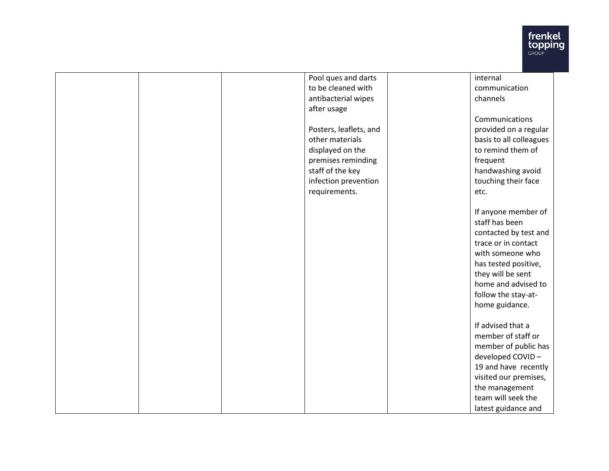

| Pool ques and darts    | internal                |
|------------------------|-------------------------|
| to be cleaned with     | communication           |
| antibacterial wipes    | channels                |
| after usage            |                         |
|                        | Communications          |
| Posters, leaflets, and | provided on a regular   |
| other materials        | basis to all colleagues |
| displayed on the       | to remind them of       |
| premises reminding     | frequent                |
| staff of the key       | handwashing avoid       |
| infection prevention   | touching their face     |
| requirements.          | etc.                    |
|                        |                         |
|                        | If anyone member of     |
|                        | staff has been          |
|                        | contacted by test and   |
|                        | trace or in contact     |
|                        | with someone who        |
|                        | has tested positive,    |
|                        | they will be sent       |
|                        | home and advised to     |
|                        | follow the stay-at-     |
|                        | home guidance.          |
|                        |                         |
|                        | If advised that a       |
|                        | member of staff or      |
|                        | member of public has    |
|                        | developed COVID-        |
|                        | 19 and have recently    |
|                        | visited our premises,   |
|                        | the management          |
|                        | team will seek the      |
|                        | latest guidance and     |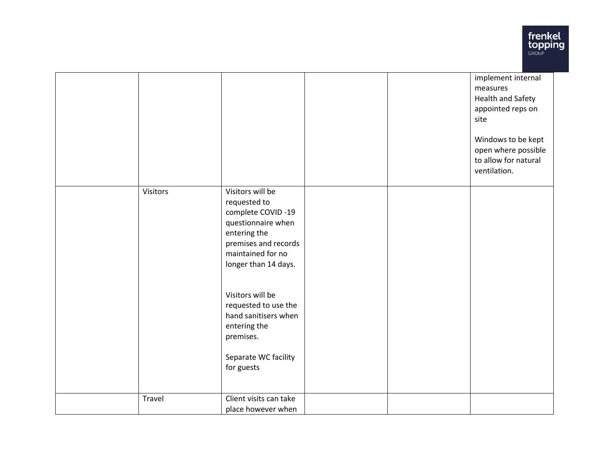

|          |                                                                                                                                                                  |  | implement internal<br>measures<br><b>Health and Safety</b><br>appointed reps on<br>site<br>Windows to be kept<br>open where possible<br>to allow for natural<br>ventilation. |
|----------|------------------------------------------------------------------------------------------------------------------------------------------------------------------|--|------------------------------------------------------------------------------------------------------------------------------------------------------------------------------|
| Visitors | Visitors will be<br>requested to<br>complete COVID-19<br>questionnaire when<br>entering the<br>premises and records<br>maintained for no<br>longer than 14 days. |  |                                                                                                                                                                              |
|          | Visitors will be<br>requested to use the<br>hand sanitisers when<br>entering the<br>premises.<br>Separate WC facility<br>for guests                              |  |                                                                                                                                                                              |
| Travel   | Client visits can take<br>place however when                                                                                                                     |  |                                                                                                                                                                              |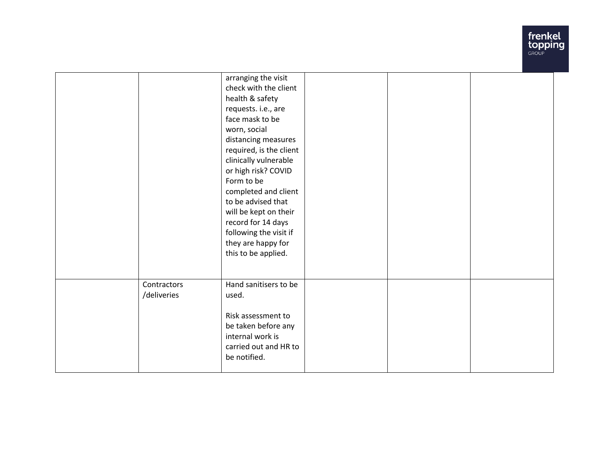